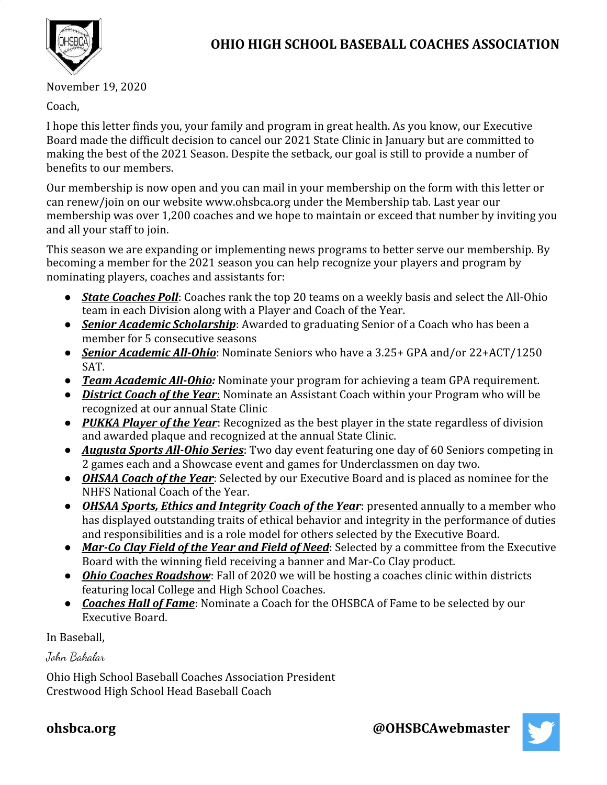

November 19, 2020

Coach,

I hope this letter finds you, your family and program in great health. As you know, our Executive Board made the difficult decision to cancel our 2021 State Clinic in January but are committed to making the best of the 2021 Season. Despite the setback, our goal is still to provide a number of benefits to our members.

Our membership is now open and you can mail in your membership on the form with this letter or can renew/join on our website www.ohsbca.org under the Membership tab. Last year our membership was over 1,200 coaches and we hope to maintain or exceed that number by inviting you and all your staff to join.

This season we are expanding or implementing news programs to better serve our membership. By becoming a member for the 2021 season you can help recognize your players and program by nominating players, coaches and assistants for:

- *State Coaches Poll*: Coaches rank the top 20 teams on a weekly basis and select the All-Ohio team in each Division along with a Player and Coach of the Year.
- **•** *Senior Academic Scholarship*: Awarded to graduating Senior of a Coach who has been a member for 5 consecutive seasons
- *Senior Academic All-Ohio*: Nominate Seniors who have a 3.25+ GPA and/or 22+ACT/1250 SAT.
- *● Team Academic All-Ohio:* Nominate your program for achieving a team GPA requirement.
- *District Coach of the Year*: Nominate an Assistant Coach within your Program who will be recognized at our annual State Clinic
- *PUKKA Player of the Year*: Recognized as the best player in the state regardless of division and awarded plaque and recognized at the annual State Clinic.
- *Augusta Sports All-Ohio Series*: Two day event featuring one day of 60 Seniors competing in 2 games each and a Showcase event and games for Underclassmen on day two.
- *OHSAA Coach of the Year*: Selected by our Executive Board and is placed as nominee for the NHFS National Coach of the Year.
- *OHSAA Sports, Ethics and Integrity Coach of the Year*: presented annually to a member who has displayed outstanding traits of ethical behavior and integrity in the performance of duties and responsibilities and is a role model for others selected by the Executive Board.
- **Mar-Co Clay Field of the Year and Field of Need**: Selected by a committee from the Executive Board with the winning field receiving a banner and Mar-Co Clay product.
- *Ohio Coaches Roadshow*: Fall of 2020 we will be hosting a coaches clinic within districts featuring local College and High School Coaches.
- *Coaches Hall of Fame*: Nominate a Coach for the OHSBCA of Fame to be selected by our Executive Board.

In Baseball,

John Bakalar

Ohio High School Baseball Coaches Association President Crestwood High School Head Baseball Coach